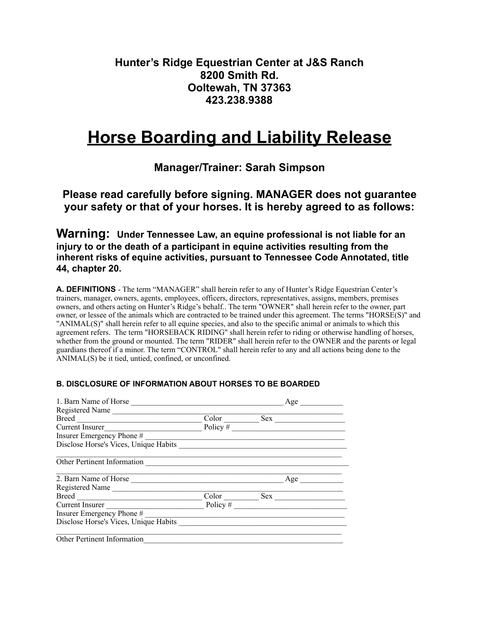## **Hunter's Ridge Equestrian Center at J&S Ranch 8200 Smith Rd. Ooltewah, TN 37363 423.238.9388**

# **Horse Boarding and Liability Release**

**Manager/Trainer: Sarah Simpson**

**Please read carefully before signing. MANAGER does not guarantee your safety or that of your horses. It is hereby agreed to as follows:** 

**Warning: Under Tennessee Law, an equine professional is not liable for an injury to or the death of a participant in equine activities resulting from the inherent risks of equine activities, pursuant to Tennessee Code Annotated, title 44, chapter 20.** 

**A. DEFINITIONS** - The term "MANAGER" shall herein refer to any of Hunter's Ridge Equestrian Center's trainers, manager, owners, agents, employees, officers, directors, representatives, assigns, members, premises owners, and others acting on Hunter's Ridge's behalf.. The term "OWNER" shall herein refer to the owner, part owner, or lessee of the animals which are contracted to be trained under this agreement. The terms "HORSE(S)" and "ANIMAL(S)" shall herein refer to all equine species, and also to the specific animal or animals to which this agreement refers. The term "HORSEBACK RIDING" shall herein refer to riding or otherwise handling of horses, whether from the ground or mounted. The term "RIDER" shall herein refer to the OWNER and the parents or legal guardians thereof if a minor. The term "CONTROL" shall herein refer to any and all actions being done to the ANIMAL(S) be it tied, untied, confined, or unconfined.

| 1. Barn Name of Horse                 |            |     | Age |
|---------------------------------------|------------|-----|-----|
| Registered Name                       |            |     |     |
| Breed <u>_________________</u>        | Color      | Sex |     |
| Current Insurer                       | Policy $#$ |     |     |
| Insurer Emergency Phone #             |            |     |     |
| Disclose Horse's Vices, Unique Habits |            |     |     |
| Other Pertinent Information           |            |     |     |
| 2. Barn Name of Horse                 |            |     | Age |
| Registered Name                       |            |     |     |
|                                       | Color      |     | Sex |
| Current Insurer                       | Policy $#$ |     |     |
| Insurer Emergency Phone #             |            |     |     |
| Disclose Horse's Vices, Unique Habits |            |     |     |
| Other Pertinent Information           |            |     |     |

### **B. DISCLOSURE OF INFORMATION ABOUT HORSES TO BE BOARDED**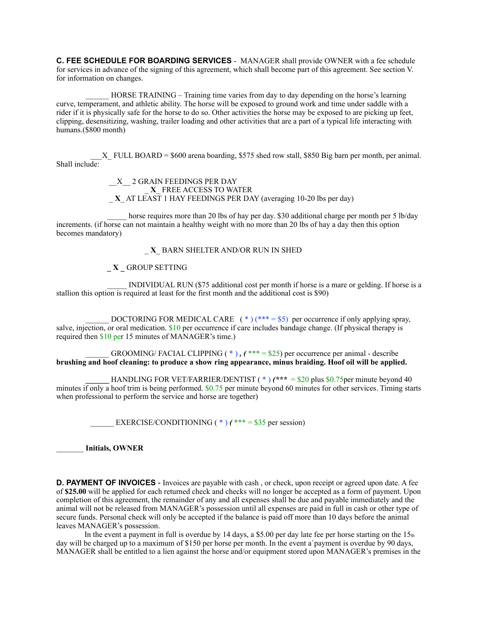**C. FEE SCHEDULE FOR BOARDING SERVICES** - MANAGER shall provide OWNER with a fee schedule for services in advance of the signing of this agreement, which shall become part of this agreement. See section V. for information on changes.

HORSE TRAINING – Training time varies from day to day depending on the horse's learning curve, temperament, and athletic ability. The horse will be exposed to ground work and time under saddle with a rider if it is physically safe for the horse to do so. Other activities the horse may be exposed to are picking up feet, clipping, desensitizing, washing, trailer loading and other activities that are a part of a typical life interacting with humans.(\$800 month)

 $X$  FULL BOARD = \$600 arena boarding, \$575 shed row stall, \$850 Big barn per month, per animal. Shall include:

> \_\_X\_\_ 2 GRAIN FEEDINGS PER DAY \_ **X**\_ FREE ACCESS TO WATER \_ **X**\_ AT LEAST 1 HAY FEEDINGS PER DAY (averaging 10-20 lbs per day)

horse requires more than 20 lbs of hay per day. \$30 additional charge per month per 5 lb/day increments. (if horse can not maintain a healthy weight with no more than 20 lbs of hay a day then this option becomes mandatory)

\_ **X**\_ BARN SHELTER AND/OR RUN IN SHED

#### **\_ X \_** GROUP SETTING

 \_\_\_\_\_ INDIVIDUAL RUN (\$75 additional cost per month if horse is a mare or gelding. If horse is a stallion this option is required at least for the first month and the additional cost is  $$90$ )

DOCTORING FOR MEDICAL CARE  $(*)$  (\*\*\* = \$5) per occurrence if only applying spray, salve, injection, or oral medication. \$10 per occurrence if care includes bandage change. (If physical therapy is required then \$10 per 15 minutes of MANAGER's time.)

GROOMING/ FACIAL CLIPPING  $(*)$ ,  $(*** = $25)$  per occurrence per animal - describe **brushing and hoof cleaning: to produce a show ring appearance, minus braiding. Hoof oil will be applied.** 

 **HANDLING FOR VET/FARRIER/DENTIST (\*)**  $({}^{**}$  $* = $20$  **plus \$0.75 per minute beyond 40** minutes if only a hoof trim is being performed.  $$0.75$  per minute beyond 60 minutes for other services. Timing starts when professional to perform the service and horse are together)

EXERCISE/CONDITIONING  $(*)$  (\*\*\* = \$35 per session)

\_\_\_\_\_\_\_ **Initials, OWNER** 

**D. PAYMENT OF INVOICES** - Invoices are payable with cash, or check, upon receipt or agreed upon date. A fee of **\$25.00** will be applied for each returned check and checks will no longer be accepted as a form of payment. Upon completion of this agreement, the remainder of any and all expenses shall be due and payable immediately and the animal will not be released from MANAGER's possession until all expenses are paid in full in cash or other type of secure funds. Personal check will only be accepted if the balance is paid off more than 10 days before the animal leaves MANAGER's possession.

In the event a payment in full is overdue by 14 days, a \$5.00 per day late fee per horse starting on the  $15<sub>th</sub>$ day will be charged up to a maximum of \$150 per horse per month. In the event a payment is overdue by 90 days, MANAGER shall be entitled to a lien against the horse and/or equipment stored upon MANAGER's premises in the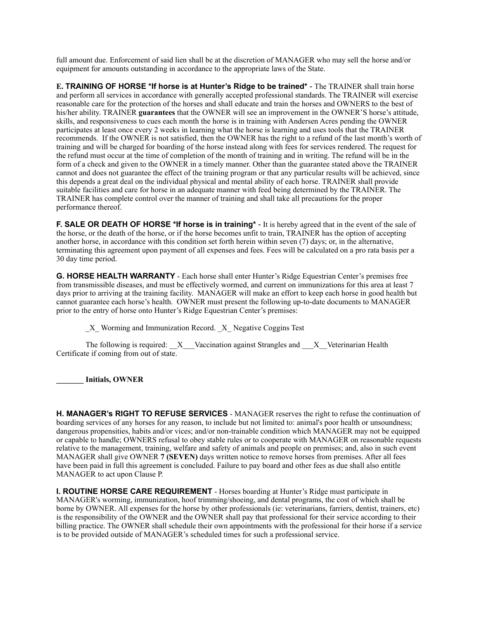full amount due. Enforcement of said lien shall be at the discretion of MANAGER who may sell the horse and/or equipment for amounts outstanding in accordance to the appropriate laws of the State.

**E. TRAINING OF HORSE \*If horse is at Hunter's Ridge to be trained\*** - The TRAINER shall train horse and perform all services in accordance with generally accepted professional standards. The TRAINER will exercise reasonable care for the protection of the horses and shall educate and train the horses and OWNERS to the best of his/her ability. TRAINER **guarantees** that the OWNER will see an improvement in the OWNER'S horse's attitude, skills, and responsiveness to cues each month the horse is in training with Andersen Acres pending the OWNER participates at least once every 2 weeks in learning what the horse is learning and uses tools that the TRAINER recommends. If the OWNER is not satisfied, then the OWNER has the right to a refund of the last month's worth of training and will be charged for boarding of the horse instead along with fees for services rendered. The request for the refund must occur at the time of completion of the month of training and in writing. The refund will be in the form of a check and given to the OWNER in a timely manner. Other than the guarantee stated above the TRAINER cannot and does not guarantee the effect of the training program or that any particular results will be achieved, since this depends a great deal on the individual physical and mental ability of each horse. TRAINER shall provide suitable facilities and care for horse in an adequate manner with feed being determined by the TRAINER. The TRAINER has complete control over the manner of training and shall take all precautions for the proper performance thereof.

**F. SALE OR DEATH OF HORSE \*If horse is in training\*** - It is hereby agreed that in the event of the sale of the horse, or the death of the horse, or if the horse becomes unfit to train, TRAINER has the option of accepting another horse, in accordance with this condition set forth herein within seven (7) days; or, in the alternative, terminating this agreement upon payment of all expenses and fees. Fees will be calculated on a pro rata basis per a 30 day time period.

**G. HORSE HEALTH WARRANTY** - Each horse shall enter Hunter's Ridge Equestrian Center's premises free from transmissible diseases, and must be effectively wormed, and current on immunizations for this area at least 7 days prior to arriving at the training facility. MANAGER will make an effort to keep each horse in good health but cannot guarantee each horse's health. OWNER must present the following up-to-date documents to MANAGER prior to the entry of horse onto Hunter's Ridge Equestrian Center's premises:

\_X\_ Worming and Immunization Record. \_X\_ Negative Coggins Test

**The following is required:**  $\bar{X}$  Vaccination against Strangles and  $\bar{X}$  Veterinarian Health Certificate if coming from out of state.

**\_\_\_\_\_\_\_ Initials, OWNER** 

**H. MANAGER's RIGHT TO REFUSE SERVICES** - MANAGER reserves the right to refuse the continuation of boarding services of any horses for any reason, to include but not limited to: animal's poor health or unsoundness; dangerous propensities, habits and/or vices; and/or non-trainable condition which MANAGER may not be equipped or capable to handle; OWNERS refusal to obey stable rules or to cooperate with MANAGER on reasonable requests relative to the management, training, welfare and safety of animals and people on premises; and, also in such event MANAGER shall give OWNER **7 (SEVEN)** days written notice to remove horses from premises. After all fees have been paid in full this agreement is concluded. Failure to pay board and other fees as due shall also entitle MANAGER to act upon Clause P.

**I. ROUTINE HORSE CARE REQUIREMENT** - Horses boarding at Hunter's Ridge must participate in MANAGER's worming, immunization, hoof trimming/shoeing, and dental programs, the cost of which shall be borne by OWNER. All expenses for the horse by other professionals (ie: veterinarians, farriers, dentist, trainers, etc) is the responsibility of the OWNER and the OWNER shall pay that professional for their service according to their billing practice. The OWNER shall schedule their own appointments with the professional for their horse if a service is to be provided outside of MANAGER's scheduled times for such a professional service.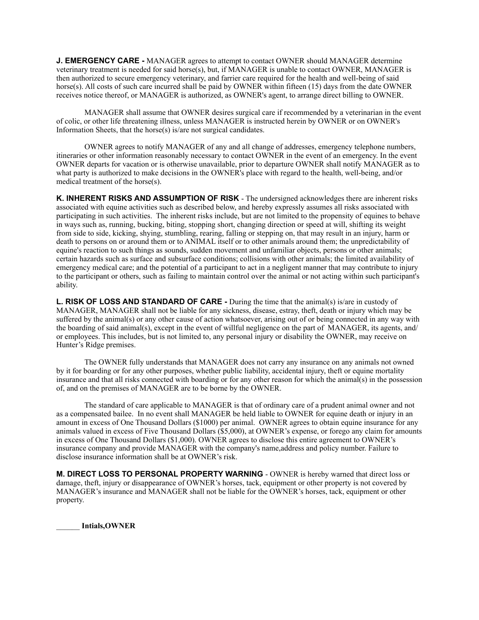**J. EMERGENCY CARE -** MANAGER agrees to attempt to contact OWNER should MANAGER determine veterinary treatment is needed for said horse(s), but, if MANAGER is unable to contact OWNER, MANAGER is then authorized to secure emergency veterinary, and farrier care required for the health and well-being of said horse(s). All costs of such care incurred shall be paid by OWNER within fifteen (15) days from the date OWNER receives notice thereof, or MANAGER is authorized, as OWNER's agent, to arrange direct billing to OWNER.

 MANAGER shall assume that OWNER desires surgical care if recommended by a veterinarian in the event of colic, or other life threatening illness, unless MANAGER is instructed herein by OWNER or on OWNER's Information Sheets, that the horse(s) is/are not surgical candidates.

 OWNER agrees to notify MANAGER of any and all change of addresses, emergency telephone numbers, itineraries or other information reasonably necessary to contact OWNER in the event of an emergency. In the event OWNER departs for vacation or is otherwise unavailable, prior to departure OWNER shall notify MANAGER as to what party is authorized to make decisions in the OWNER's place with regard to the health, well-being, and/or medical treatment of the horse(s).

**K. INHERENT RISKS AND ASSUMPTION OF RISK** - The undersigned acknowledges there are inherent risks associated with equine activities such as described below, and hereby expressly assumes all risks associated with participating in such activities. The inherent risks include, but are not limited to the propensity of equines to behave in ways such as, running, bucking, biting, stopping short, changing direction or speed at will, shifting its weight from side to side, kicking, shying, stumbling, rearing, falling or stepping on, that may result in an injury, harm or death to persons on or around them or to ANIMAL itself or to other animals around them; the unpredictability of equine's reaction to such things as sounds, sudden movement and unfamiliar objects, persons or other animals; certain hazards such as surface and subsurface conditions; collisions with other animals; the limited availability of emergency medical care; and the potential of a participant to act in a negligent manner that may contribute to injury to the participant or others, such as failing to maintain control over the animal or not acting within such participant's ability.

**L. RISK OF LOSS AND STANDARD OF CARE -** During the time that the animal(s) is/are in custody of MANAGER, MANAGER shall not be liable for any sickness, disease, estray, theft, death or injury which may be suffered by the animal(s) or any other cause of action whatsoever, arising out of or being connected in any way with the boarding of said animal(s), except in the event of willful negligence on the part of MANAGER, its agents, and/ or employees. This includes, but is not limited to, any personal injury or disability the OWNER, may receive on Hunter's Ridge premises.

 The OWNER fully understands that MANAGER does not carry any insurance on any animals not owned by it for boarding or for any other purposes, whether public liability, accidental injury, theft or equine mortality insurance and that all risks connected with boarding or for any other reason for which the animal(s) in the possession of, and on the premises of MANAGER are to be borne by the OWNER.

 The standard of care applicable to MANAGER is that of ordinary care of a prudent animal owner and not as a compensated bailee. In no event shall MANAGER be held liable to OWNER for equine death or injury in an amount in excess of One Thousand Dollars (\$1000) per animal. OWNER agrees to obtain equine insurance for any animals valued in excess of Five Thousand Dollars (\$5,000), at OWNER's expense, or forego any claim for amounts in excess of One Thousand Dollars (\$1,000). OWNER agrees to disclose this entire agreement to OWNER's insurance company and provide MANAGER with the company's name,address and policy number. Failure to disclose insurance information shall be at OWNER's risk.

**M. DIRECT LOSS TO PERSONAL PROPERTY WARNING** - OWNER is hereby warned that direct loss or damage, theft, injury or disappearance of OWNER's horses, tack, equipment or other property is not covered by MANAGER's insurance and MANAGER shall not be liable for the OWNER's horses, tack, equipment or other property.

\_\_\_\_\_\_ **Intials,OWNER**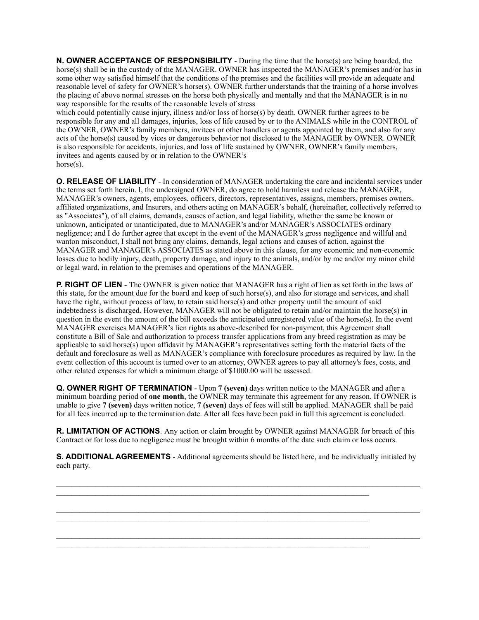**N. OWNER ACCEPTANCE OF RESPONSIBILITY** - During the time that the horse(s) are being boarded, the horse(s) shall be in the custody of the MANAGER. OWNER has inspected the MANAGER's premises and/or has in some other way satisfied himself that the conditions of the premises and the facilities will provide an adequate and reasonable level of safety for OWNER's horse(s). OWNER further understands that the training of a horse involves the placing of above normal stresses on the horse both physically and mentally and that the MANAGER is in no way responsible for the results of the reasonable levels of stress

which could potentially cause injury, illness and/or loss of horse(s) by death. OWNER further agrees to be responsible for any and all damages, injuries, loss of life caused by or to the ANIMALS while in the CONTROL of the OWNER, OWNER's family members, invitees or other handlers or agents appointed by them, and also for any acts of the horse(s) caused by vices or dangerous behavior not disclosed to the MANAGER by OWNER. OWNER is also responsible for accidents, injuries, and loss of life sustained by OWNER, OWNER's family members, invitees and agents caused by or in relation to the OWNER's horse(s).

**O. RELEASE OF LIABILITY** - In consideration of MANAGER undertaking the care and incidental services under the terms set forth herein. I, the undersigned OWNER, do agree to hold harmless and release the MANAGER, MANAGER's owners, agents, employees, officers, directors, representatives, assigns, members, premises owners, affiliated organizations, and Insurers, and others acting on MANAGER's behalf, (hereinafter, collectively referred to as "Associates"), of all claims, demands, causes of action, and legal liability, whether the same be known or unknown, anticipated or unanticipated, due to MANAGER's and/or MANAGER's ASSOCIATES ordinary negligence; and I do further agree that except in the event of the MANAGER's gross negligence and willful and wanton misconduct, I shall not bring any claims, demands, legal actions and causes of action, against the MANAGER and MANAGER's ASSOCIATES as stated above in this clause, for any economic and non-economic losses due to bodily injury, death, property damage, and injury to the animals, and/or by me and/or my minor child or legal ward, in relation to the premises and operations of the MANAGER.

**P. RIGHT OF LIEN** - The OWNER is given notice that MANAGER has a right of lien as set forth in the laws of this state, for the amount due for the board and keep of such horse(s), and also for storage and services, and shall have the right, without process of law, to retain said horse(s) and other property until the amount of said indebtedness is discharged. However, MANAGER will not be obligated to retain and/or maintain the horse(s) in question in the event the amount of the bill exceeds the anticipated unregistered value of the horse(s). In the event MANAGER exercises MANAGER's lien rights as above-described for non-payment, this Agreement shall constitute a Bill of Sale and authorization to process transfer applications from any breed registration as may be applicable to said horse(s) upon affidavit by MANAGER's representatives setting forth the material facts of the default and foreclosure as well as MANAGER's compliance with foreclosure procedures as required by law. In the event collection of this account is turned over to an attorney, OWNER agrees to pay all attorney's fees, costs, and other related expenses for which a minimum charge of \$1000.00 will be assessed.

**Q. OWNER RIGHT OF TERMINATION** - Upon **7 (seven)** days written notice to the MANAGER and after a minimum boarding period of **one month**, the OWNER may terminate this agreement for any reason. If OWNER is unable to give **7 (seven)** days written notice, **7 (seven)** days of fees will still be applied. MANAGER shall be paid for all fees incurred up to the termination date. After all fees have been paid in full this agreement is concluded.

**R. LIMITATION OF ACTIONS**. Any action or claim brought by OWNER against MANAGER for breach of this Contract or for loss due to negligence must be brought within 6 months of the date such claim or loss occurs.

**S. ADDITIONAL AGREEMENTS** - Additional agreements should be listed here, and be individually initialed by each party.

 $\mathcal{L}_\text{max}$ 

 $\mathcal{L}_\text{max}$ 

 $\mathcal{L}_\text{max}$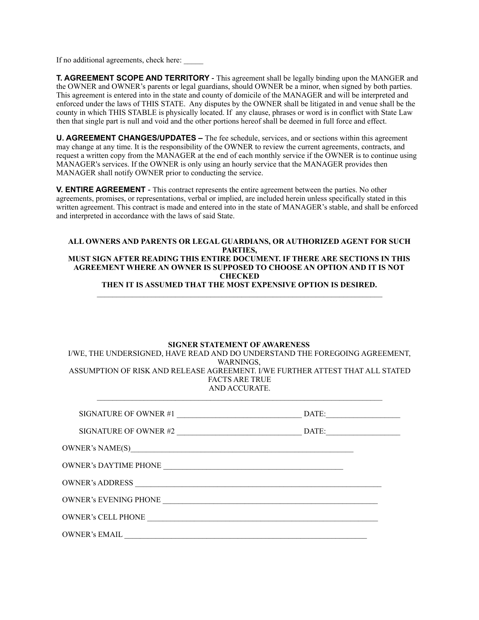If no additional agreements, check here:

**T. AGREEMENT SCOPE AND TERRITORY** - This agreement shall be legally binding upon the MANGER and the OWNER and OWNER's parents or legal guardians, should OWNER be a minor, when signed by both parties. This agreement is entered into in the state and county of domicile of the MANAGER and will be interpreted and enforced under the laws of THIS STATE. Any disputes by the OWNER shall be litigated in and venue shall be the county in which THIS STABLE is physically located. If any clause, phrases or word is in conflict with State Law then that single part is null and void and the other portions hereof shall be deemed in full force and effect.

**U. AGREEMENT CHANGES/UPDATES –** The fee schedule, services, and or sections within this agreement may change at any time. It is the responsibility of the OWNER to review the current agreements, contracts, and request a written copy from the MANAGER at the end of each monthly service if the OWNER is to continue using MANAGER's services. If the OWNER is only using an hourly service that the MANAGER provides then MANAGER shall notify OWNER prior to conducting the service.

**V. ENTIRE AGREEMENT** - This contract represents the entire agreement between the parties. No other agreements, promises, or representations, verbal or implied, are included herein unless specifically stated in this written agreement. This contract is made and entered into in the state of MANAGER's stable, and shall be enforced and interpreted in accordance with the laws of said State.

#### **ALL OWNERS AND PARENTS OR LEGAL GUARDIANS, OR AUTHORIZED AGENT FOR SUCH PARTIES, MUST SIGN AFTER READING THIS ENTIRE DOCUMENT. IF THERE ARE SECTIONS IN THIS AGREEMENT WHERE AN OWNER IS SUPPOSED TO CHOOSE AN OPTION AND IT IS NOT CHECKED THEN IT IS ASSUMED THAT THE MOST EXPENSIVE OPTION IS DESIRED.**   $\_$  , and the state of the state of the state of the state of the state of the state of the state of the state of the state of the state of the state of the state of the state of the state of the state of the state of the

#### **SIGNER STATEMENT OF AWARENESS**

I/WE, THE UNDERSIGNED, HAVE READ AND DO UNDERSTAND THE FOREGOING AGREEMENT, WARNINGS, ASSUMPTION OF RISK AND RELEASE AGREEMENT. I/WE FURTHER ATTEST THAT ALL STATED FACTS ARE TRUE AND ACCURATE.

 $\_$  , and the state of the state of the state of the state of the state of the state of the state of the state of the state of the state of the state of the state of the state of the state of the state of the state of the

| SIGNATURE OF OWNER #1                                                   | DATE:                                                     |
|-------------------------------------------------------------------------|-----------------------------------------------------------|
| SIGNATURE OF OWNER #2                                                   | $\blacksquare$                                            |
|                                                                         |                                                           |
| <b>OWNER's DAYTIME PHONE</b>                                            | <u> 1989 - John Stein, Amerikaansk politiker (* 1958)</u> |
| OWNER's ADDRESS<br><u> 1980 - Johann Barn, fransk politik (f. 1980)</u> |                                                           |
| <b>OWNER's EVENING PHONE</b>                                            |                                                           |
| <b>OWNER's CELL PHONE</b>                                               |                                                           |
| <b>OWNER's EMAIL</b>                                                    |                                                           |